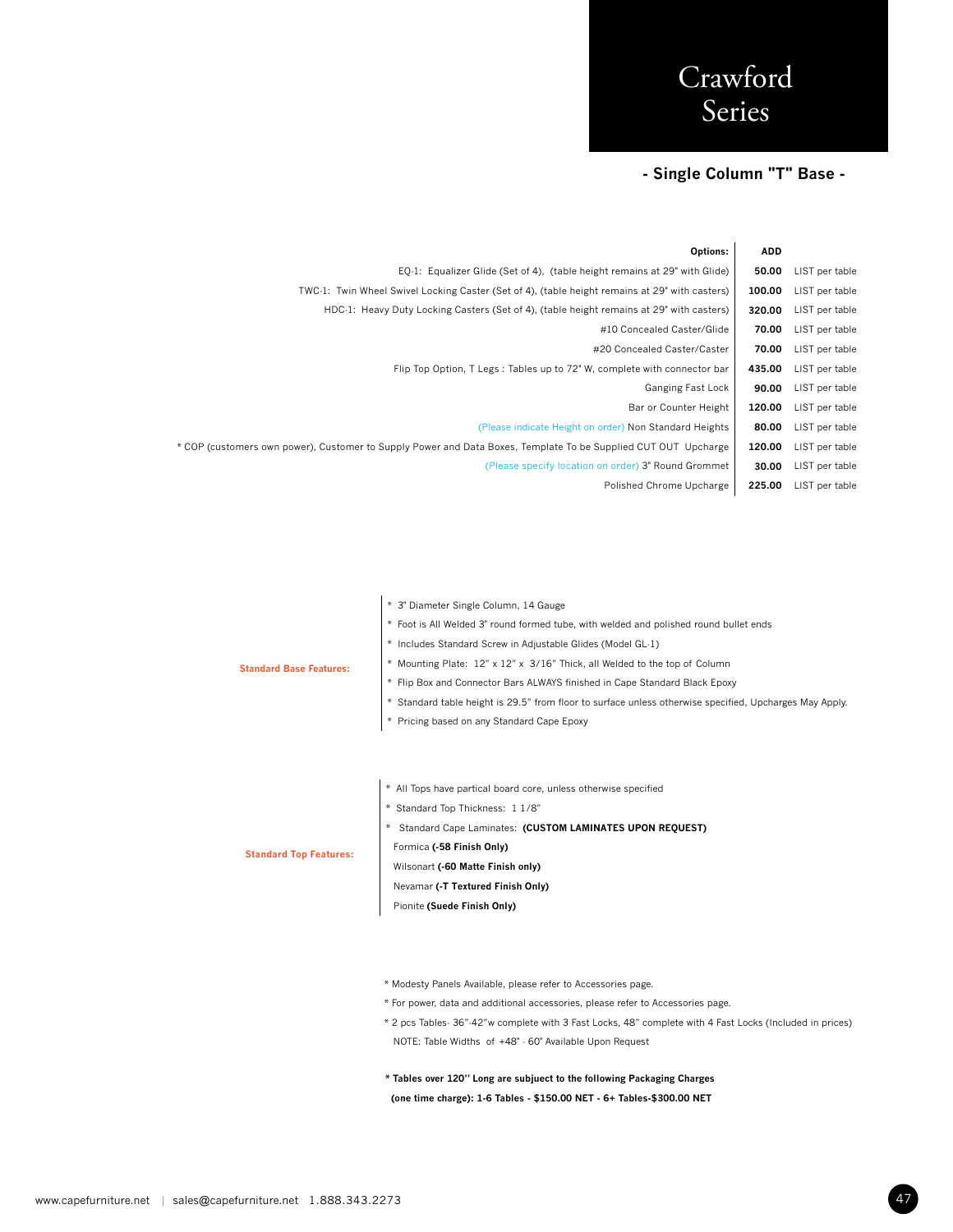## **- Single Column "T" Base -**

|                | <b>ADD</b> | <b>Options:</b>                                                                                                |
|----------------|------------|----------------------------------------------------------------------------------------------------------------|
| LIST per table | 50.00      | EQ-1: Equalizer Glide (Set of 4), (table height remains at 29" with Glide)                                     |
| LIST per table | 100.00     | TWC-1: Twin Wheel Swivel Locking Caster (Set of 4), (table height remains at 29" with casters)                 |
| LIST per table | 320.00     | HDC-1: Heavy Duty Locking Casters (Set of 4), (table height remains at 29" with casters)                       |
| LIST per table | 70.00      | #10 Concealed Caster/Glide                                                                                     |
| LIST per table | 70.00      | #20 Concealed Caster/Caster                                                                                    |
| LIST per table | 435.00     | Flip Top Option, T Legs: Tables up to 72" W, complete with connector bar                                       |
| LIST per table | 90.00      | Ganging Fast Lock                                                                                              |
| LIST per table | 120.00     | Bar or Counter Height                                                                                          |
| LIST per table | 80.00      | (Please indicate Height on order) Non Standard Heights                                                         |
| LIST per table | 120.00     | * COP (customers own power), Customer to Supply Power and Data Boxes, Template To be Supplied CUT OUT Upcharge |
| LIST per table | 30.00      | (Please specify location on order) 3" Round Grommet                                                            |
| LIST per table | 225.00     | Polished Chrome Upcharge                                                                                       |
|                |            |                                                                                                                |

|                                | * 3" Diameter Single Column, 14 Gauge                                                                   |
|--------------------------------|---------------------------------------------------------------------------------------------------------|
|                                | * Foot is All Welded 3" round formed tube, with welded and polished round bullet ends                   |
|                                | * Includes Standard Screw in Adjustable Glides (Model GL-1)                                             |
| <b>Standard Base Features:</b> | * Mounting Plate: 12" x 12" x 3/16" Thick, all Welded to the top of Column                              |
|                                | * Flip Box and Connector Bars ALWAYS finished in Cape Standard Black Epoxy                              |
|                                | * Standard table height is 29.5" from floor to surface unless otherwise specified, Upcharges May Apply. |
|                                | * Pricing based on any Standard Cape Epoxy                                                              |
|                                |                                                                                                         |
|                                |                                                                                                         |
|                                | * All Tops have partical board core, unless otherwise specified                                         |
|                                | * Standard Top Thickness: 1 1/8"                                                                        |
|                                | * Standard Cape Laminates: (CUSTOM LAMINATES UPON REQUEST)                                              |
| <b>Standard Top Features:</b>  | Formica (-58 Finish Only)                                                                               |
|                                | Wilsonart (-60 Matte Finish only)                                                                       |
|                                | Nevamar (-T Textured Finish Only)                                                                       |
|                                | Pionite (Suede Finish Only)                                                                             |
|                                |                                                                                                         |
|                                |                                                                                                         |
|                                |                                                                                                         |
|                                | * Modesty Panels Available, please refer to Accessories page.                                           |

- \* For power, data and additional accessories, please refer to Accessories page.
- \* 2 pcs Tables- 36"-42"w complete with 3 Fast Locks, 48" complete with 4 Fast Locks (Included in prices) NOTE: Table Widths of +48" - 60" Available Upon Request
- **\* Tables over 120" Long are subjuect to the following Packaging Charges (one time charge): 1-6 Tables - \$150.00 NET - 6+ Tables-\$300.00 NET**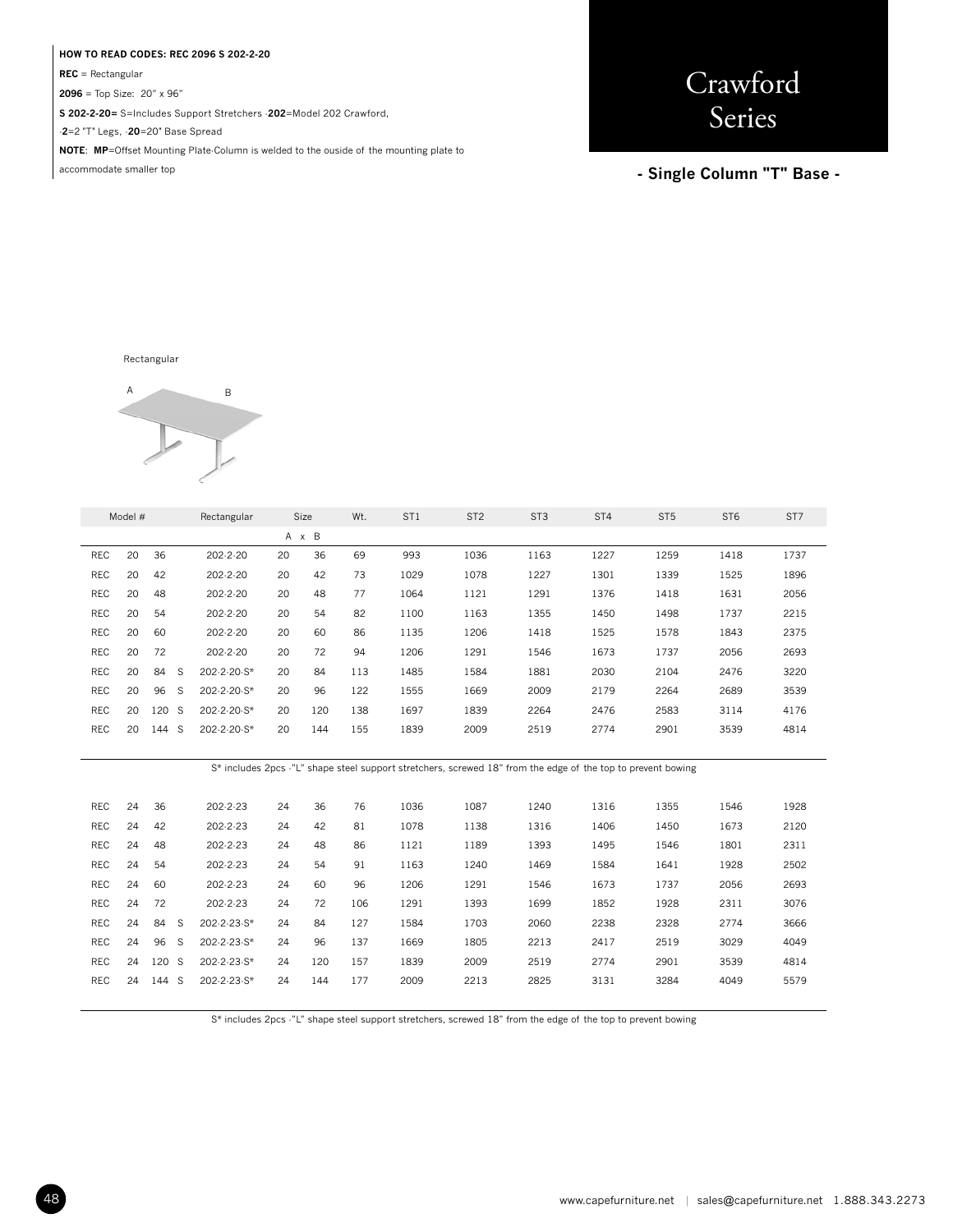#### **HOW TO READ CODES: REC 2096 S 202-2-20**

**REC** = Rectangular

**2096** = Top Size: 20" x 96"

**S 202-2-20=** S=Includes Support Stretchers -**202**=Model 202 Crawford,

-**2**=2 "T" Legs, -**20**=20" Base Spread

**NOTE**: **MP**=Offset Mounting Plate-Column is welded to the ouside of the mounting plate to

accommodate smaller top

**Crawford** Series

**- Single Column "T" Base -** 

Rectangular



|            | Model # |          | Rectangular    |    | Size          | Wt. | ST <sub>1</sub> | ST <sub>2</sub> | ST <sub>3</sub> | ST <sub>4</sub> | ST <sub>5</sub> | ST <sub>6</sub> | ST7  |
|------------|---------|----------|----------------|----|---------------|-----|-----------------|-----------------|-----------------|-----------------|-----------------|-----------------|------|
|            |         |          |                | A  | B<br>$\times$ |     |                 |                 |                 |                 |                 |                 |      |
| REC        | 20      | 36       | $202 - 2 - 20$ | 20 | 36            | 69  | 993             | 1036            | 1163            | 1227            | 1259            | 1418            | 1737 |
| <b>REC</b> | 20      | 42       | $202 - 2 - 20$ | 20 | 42            | 73  | 1029            | 1078            | 1227            | 1301            | 1339            | 1525            | 1896 |
| <b>REC</b> | 20      | 48       | $202 - 2 - 20$ | 20 | 48            | 77  | 1064            | 1121            | 1291            | 1376            | 1418            | 1631            | 2056 |
| <b>REC</b> | 20      | 54       | $202 - 2 - 20$ | 20 | 54            | 82  | 1100            | 1163            | 1355            | 1450            | 1498            | 1737            | 2215 |
| <b>REC</b> | 20      | 60       | $202 - 2 - 20$ | 20 | 60            | 86  | 1135            | 1206            | 1418            | 1525            | 1578            | 1843            | 2375 |
| <b>REC</b> | 20      | 72       | $202 - 2 - 20$ | 20 | 72            | 94  | 1206            | 1291            | 1546            | 1673            | 1737            | 2056            | 2693 |
| <b>REC</b> | 20      | 84<br>S  | 202-2-20-S*    | 20 | 84            | 113 | 1485            | 1584            | 1881            | 2030            | 2104            | 2476            | 3220 |
| <b>REC</b> | 20      | 96<br>S  | 202-2-20-S*    | 20 | 96            | 122 | 1555            | 1669            | 2009            | 2179            | 2264            | 2689            | 3539 |
| <b>REC</b> | 20      | 120<br>S | 202-2-20-S*    | 20 | 120           | 138 | 1697            | 1839            | 2264            | 2476            | 2583            | 3114            | 4176 |
| <b>REC</b> | 20      | 144<br>S | 202-2-20-S*    | 20 | 144           | 155 | 1839            | 2009            | 2519            | 2774            | 2901            | 3539            | 4814 |
|            |         |          |                |    |               |     |                 |                 |                 |                 |                 |                 |      |

S\* includes 2pcs -"L" shape steel support stretchers, screwed 18" from the edge of the top to prevent bowing

| <b>REC</b> | 24 | 36        | 202-2-23       | 24 | 36  | 76  | 1036 | 1087 | 1240 | 1316 | 1355 | 1546 | 1928 |
|------------|----|-----------|----------------|----|-----|-----|------|------|------|------|------|------|------|
| <b>REC</b> | 24 | 42        | 202-2-23       | 24 | 42  | 81  | 1078 | 1138 | 1316 | 1406 | 1450 | 1673 | 2120 |
| REC        | 24 | 48        | 202-2-23       | 24 | 48  | 86  | 1121 | 1189 | 1393 | 1495 | 1546 | 1801 | 2311 |
| REC        | 24 | 54        | 202-2-23       | 24 | 54  | 91  | 1163 | 1240 | 1469 | 1584 | 1641 | 1928 | 2502 |
| <b>REC</b> | 24 | 60        | $202 - 2 - 23$ | 24 | 60  | 96  | 1206 | 1291 | 1546 | 1673 | 1737 | 2056 | 2693 |
| <b>REC</b> | 24 | 72        | 202-2-23       | 24 | 72  | 106 | 1291 | 1393 | 1699 | 1852 | 1928 | 2311 | 3076 |
| <b>REC</b> | 24 | 84<br>S   | 202-2-23-S*    | 24 | 84  | 127 | 1584 | 1703 | 2060 | 2238 | 2328 | 2774 | 3666 |
| <b>REC</b> | 24 | 96<br>S   | 202-2-23-S*    | 24 | 96  | 137 | 1669 | 1805 | 2213 | 2417 | 2519 | 3029 | 4049 |
| <b>REC</b> | 24 | 120<br>-S | 202-2-23-S*    | 24 | 120 | 157 | 1839 | 2009 | 2519 | 2774 | 2901 | 3539 | 4814 |
| <b>REC</b> | 24 | 144<br>S  | 202-2-23-S*    | 24 | 144 | 177 | 2009 | 2213 | 2825 | 3131 | 3284 | 4049 | 5579 |
|            |    |           |                |    |     |     |      |      |      |      |      |      |      |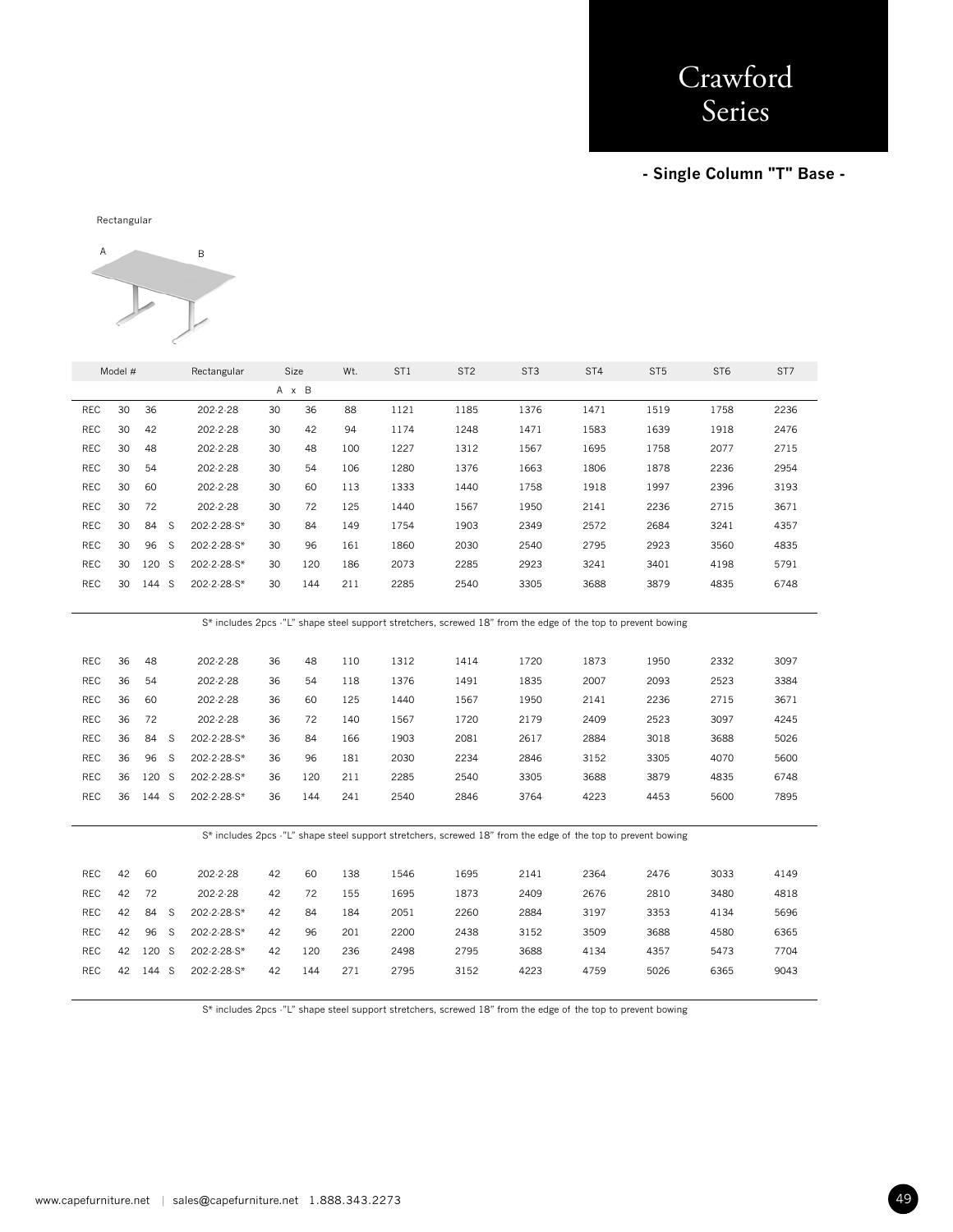**- Single Column "T" Base -** 

Rectangular



|            | Model # |       | Rectangular       | Size |       | Wt. | ST <sub>1</sub> | ST <sub>2</sub> | ST <sub>3</sub>                                                                                              | ST <sub>4</sub> | ST <sub>5</sub> | ST <sub>6</sub> | ST7  |
|------------|---------|-------|-------------------|------|-------|-----|-----------------|-----------------|--------------------------------------------------------------------------------------------------------------|-----------------|-----------------|-----------------|------|
|            |         |       |                   |      | A x B |     |                 |                 |                                                                                                              |                 |                 |                 |      |
| REC        | 30      | 36    | 202-2-28          | 30   | 36    | 88  | 1121            | 1185            | 1376                                                                                                         | 1471            | 1519            | 1758            | 2236 |
| <b>REC</b> | 30      | 42    | 202-2-28          | 30   | 42    | 94  | 1174            | 1248            | 1471                                                                                                         | 1583            | 1639            | 1918            | 2476 |
| <b>REC</b> | 30      | 48    | 202-2-28          | 30   | 48    | 100 | 1227            | 1312            | 1567                                                                                                         | 1695            | 1758            | 2077            | 2715 |
| <b>REC</b> | 30      | 54    | 202-2-28          | 30   | 54    | 106 | 1280            | 1376            | 1663                                                                                                         | 1806            | 1878            | 2236            | 2954 |
| <b>REC</b> | 30      | 60    | 202-2-28          | 30   | 60    | 113 | 1333            | 1440            | 1758                                                                                                         | 1918            | 1997            | 2396            | 3193 |
| <b>REC</b> | 30      | 72    | 202-2-28          | 30   | 72    | 125 | 1440            | 1567            | 1950                                                                                                         | 2141            | 2236            | 2715            | 3671 |
| <b>REC</b> | 30      | 84    | S<br>202-2-28-S*  | 30   | 84    | 149 | 1754            | 1903            | 2349                                                                                                         | 2572            | 2684            | 3241            | 4357 |
| <b>REC</b> | 30      | 96    | -S<br>202-2-28-S* | 30   | 96    | 161 | 1860            | 2030            | 2540                                                                                                         | 2795            | 2923            | 3560            | 4835 |
| <b>REC</b> | 30      | 120 S | 202-2-28-S*       | 30   | 120   | 186 | 2073            | 2285            | 2923                                                                                                         | 3241            | 3401            | 4198            | 5791 |
| <b>REC</b> | 30      | 144 S | 202-2-28-S*       | 30   | 144   | 211 | 2285            | 2540            | 3305                                                                                                         | 3688            | 3879            | 4835            | 6748 |
|            |         |       |                   |      |       |     |                 |                 |                                                                                                              |                 |                 |                 |      |
|            |         |       |                   |      |       |     |                 |                 | S* includes 2pcs -"L" shape steel support stretchers, screwed 18" from the edge of the top to prevent bowing |                 |                 |                 |      |
|            |         |       |                   |      |       |     |                 |                 |                                                                                                              |                 |                 |                 |      |
| <b>REC</b> | 36      | 48    | 202-2-28          | 36   | 48    | 110 | 1312            | 1414            | 1720                                                                                                         | 1873            | 1950            | 2332            | 3097 |
| <b>REC</b> | 36      | 54    | 202-2-28          | 36   | 54    | 118 | 1376            | 1491            | 1835                                                                                                         | 2007            | 2093            | 2523            | 3384 |
| <b>REC</b> | 36      | 60    | 202-2-28          | 36   | 60    | 125 | 1440            | 1567            | 1950                                                                                                         | 2141            | 2236            | 2715            | 3671 |
| <b>REC</b> | 36      | 72    | 202-2-28          | 36   | 72    | 140 | 1567            | 1720            | 2179                                                                                                         | 2409            | 2523            | 3097            | 4245 |
| <b>REC</b> | 36      | 84 S  | 202-2-28-S*       | 36   | 84    | 166 | 1903            | 2081            | 2617                                                                                                         | 2884            | 3018            | 3688            | 5026 |
| REC        | 36      | 96 S  | 202-2-28-S*       | 36   | 96    | 181 | 2030            | 2234            | 2846                                                                                                         | 3152            | 3305            | 4070            | 5600 |
| <b>REC</b> | 36      | 120 S | 202-2-28-S*       | 36   | 120   | 211 | 2285            | 2540            | 3305                                                                                                         | 3688            | 3879            | 4835            | 6748 |
| <b>REC</b> | 36      | 144 S | 202-2-28-S*       | 36   | 144   | 241 | 2540            | 2846            | 3764                                                                                                         | 4223            | 4453            | 5600            | 7895 |
|            |         |       |                   |      |       |     |                 |                 |                                                                                                              |                 |                 |                 |      |
|            |         |       |                   |      |       |     |                 |                 | S* includes 2pcs -"L" shape steel support stretchers, screwed 18" from the edge of the top to prevent bowing |                 |                 |                 |      |
|            |         |       |                   |      |       |     |                 |                 |                                                                                                              |                 |                 |                 |      |
| <b>REC</b> | 42      | 60    | 202-2-28          | 42   | 60    | 138 | 1546            | 1695            | 2141                                                                                                         | 2364            | 2476            | 3033            | 4149 |
| <b>REC</b> | 42      | 72    | 202-2-28          | 42   | 72    | 155 | 1695            | 1873            | 2409                                                                                                         | 2676            | 2810            | 3480            | 4818 |
| REC        | 42      | 84    | S<br>202-2-28-S*  | 42   | 84    | 184 | 2051            | 2260            | 2884                                                                                                         | 3197            | 3353            | 4134            | 5696 |
| <b>REC</b> | 42      | 96    | S<br>202-2-28-S*  | 42   | 96    | 201 | 2200            | 2438            | 3152                                                                                                         | 3509            | 3688            | 4580            | 6365 |
| <b>REC</b> | 42      | 120 S | 202-2-28-S*       | 42   | 120   | 236 | 2498            | 2795            | 3688                                                                                                         | 4134            | 4357            | 5473            | 7704 |
| <b>REC</b> | 42      | 144 S | 202-2-28-S*       | 42   | 144   | 271 | 2795            | 3152            | 4223                                                                                                         | 4759            | 5026            | 6365            | 9043 |
|            |         |       |                   |      |       |     |                 |                 |                                                                                                              |                 |                 |                 |      |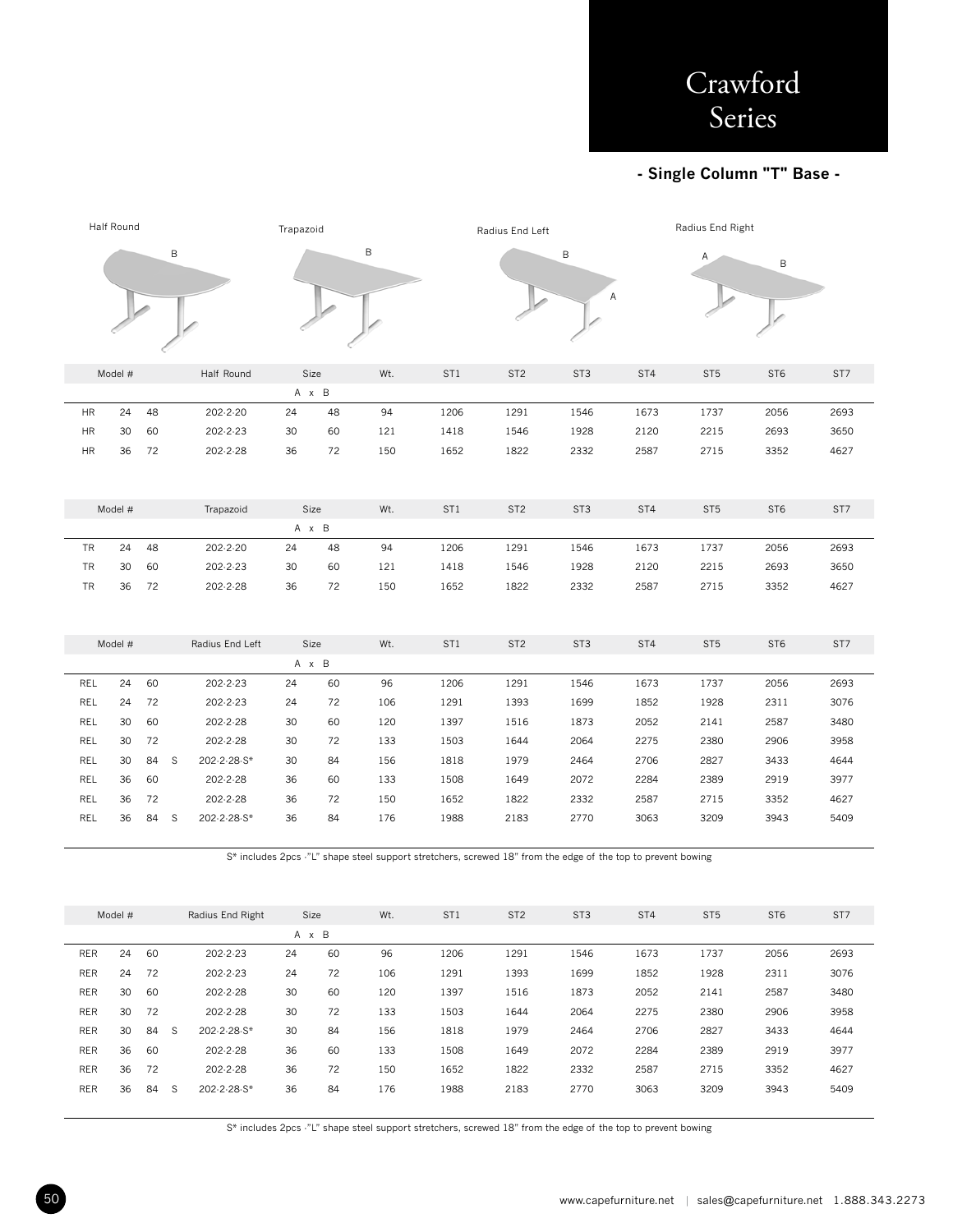## **- Single Column "T" Base -**

|               | Half Round |      |   | Trapazoid       |    |       |     |                 | Radius End Left |                 |      |                 | Radius End Right |      |  |
|---------------|------------|------|---|-----------------|----|-------|-----|-----------------|-----------------|-----------------|------|-----------------|------------------|------|--|
|               |            |      | B |                 | B  |       |     |                 |                 | В               | А    | A<br>B          |                  |      |  |
|               | Model #    |      |   | Half Round      |    | Size  | Wt. | ST <sub>1</sub> | ST <sub>2</sub> | ST <sub>3</sub> | ST4  | ST <sub>5</sub> | ST <sub>6</sub>  | ST7  |  |
|               |            |      |   |                 |    | A x B |     |                 |                 |                 |      |                 |                  |      |  |
| <b>HR</b>     | 24         | 48   |   | 202-2-20        | 24 | 48    | 94  | 1206            | 1291            | 1546            | 1673 | 1737            | 2056             | 2693 |  |
| ${\sf HR}$    | 30         | 60   |   | 202-2-23        | 30 | 60    | 121 | 1418            | 1546            | 1928            | 2120 | 2215            | 2693             | 3650 |  |
| $\mathsf{HR}$ | 36         | 72   |   | 202-2-28        | 36 | 72    | 150 | 1652            | 1822            | 2332            | 2587 | 2715            | 3352             | 4627 |  |
|               |            |      |   |                 |    |       |     |                 |                 |                 |      |                 |                  |      |  |
|               | Model #    |      |   | Trapazoid       |    | Size  | Wt. | ST <sub>1</sub> | ST <sub>2</sub> | ST <sub>3</sub> | ST4  | ST <sub>5</sub> | ST <sub>6</sub>  | ST7  |  |
|               |            |      |   |                 |    | A x B |     |                 |                 |                 |      |                 |                  |      |  |
| TR            | 24         | 48   |   | 202-2-20        | 24 | 48    | 94  | 1206            | 1291            | 1546            | 1673 | 1737            | 2056             | 2693 |  |
| TR            | 30         | 60   |   | 202-2-23        | 30 | 60    | 121 | 1418            | 1546            | 1928            | 2120 | 2215            | 2693             | 3650 |  |
| TR            | 36         | 72   |   | 202-2-28        | 36 | 72    | 150 | 1652            | 1822            | 2332            | 2587 | 2715            | 3352             | 4627 |  |
|               |            |      |   |                 |    |       |     |                 |                 |                 |      |                 |                  |      |  |
|               | Model #    |      |   | Radius End Left |    | Size  | Wt. | ST <sub>1</sub> | ST <sub>2</sub> | ST <sub>3</sub> | ST4  | ST <sub>5</sub> | ST <sub>6</sub>  | ST7  |  |
|               |            |      |   |                 |    | A x B |     |                 |                 |                 |      |                 |                  |      |  |
| REL           | 24         | 60   |   | 202-2-23        | 24 | 60    | 96  | 1206            | 1291            | 1546            | 1673 | 1737            | 2056             | 2693 |  |
| REL           | 24         | 72   |   | 202-2-23        | 24 | 72    | 106 | 1291            | 1393            | 1699            | 1852 | 1928            | 2311             | 3076 |  |
| REL           | 30         | 60   |   | 202-2-28        | 30 | 60    | 120 | 1397            | 1516            | 1873            | 2052 | 2141            | 2587             | 3480 |  |
| REL           | 30         | 72   |   | 202-2-28        | 30 | 72    | 133 | 1503            | 1644            | 2064            | 2275 | 2380            | 2906             | 3958 |  |
| <b>REL</b>    | 30         | 84   | S | 202-2-28-S*     | 30 | 84    | 156 | 1818            | 1979            | 2464            | 2706 | 2827            | 3433             | 4644 |  |
| REL           | 36         | 60   |   | 202-2-28        | 36 | 60    | 133 | 1508            | 1649            | 2072            | 2284 | 2389            | 2919             | 3977 |  |
| <b>REL</b>    | 36         | 72   |   | 202-2-28        | 36 | 72    | 150 | 1652            | 1822            | 2332            | 2587 | 2715            | 3352             | 4627 |  |
| REL           | 36         | 84 S |   | 202-2-28-S*     | 36 | 84    | 176 | 1988            | 2183            | 2770            | 3063 | 3209            | 3943             | 5409 |  |
|               |            |      |   |                 |    |       |     |                 |                 |                 |      |                 |                  |      |  |

S\* includes 2pcs -"L" shape steel support stretchers, screwed 18" from the edge of the top to prevent bowing

|            | Model # |    |   | Radius End Right |    | Size  | Wt. | ST <sub>1</sub> | ST <sub>2</sub> | ST <sub>3</sub> | ST <sub>4</sub> | ST <sub>5</sub> | ST <sub>6</sub> | ST <sub>7</sub> |
|------------|---------|----|---|------------------|----|-------|-----|-----------------|-----------------|-----------------|-----------------|-----------------|-----------------|-----------------|
|            |         |    |   |                  |    | A x B |     |                 |                 |                 |                 |                 |                 |                 |
| <b>RER</b> | 24      | 60 |   | 202-2-23         | 24 | 60    | 96  | 1206            | 1291            | 1546            | 1673            | 1737            | 2056            | 2693            |
| <b>RER</b> | 24      | 72 |   | 202-2-23         | 24 | 72    | 106 | 1291            | 1393            | 1699            | 1852            | 1928            | 2311            | 3076            |
| <b>RER</b> | 30      | 60 |   | 202-2-28         | 30 | 60    | 120 | 1397            | 1516            | 1873            | 2052            | 2141            | 2587            | 3480            |
| <b>RER</b> | 30      | 72 |   | 202-2-28         | 30 | 72    | 133 | 1503            | 1644            | 2064            | 2275            | 2380            | 2906            | 3958            |
| <b>RER</b> | 30      | 84 | S | 202-2-28-S*      | 30 | 84    | 156 | 1818            | 1979            | 2464            | 2706            | 2827            | 3433            | 4644            |
| <b>RER</b> | 36      | 60 |   | 202-2-28         | 36 | 60    | 133 | 1508            | 1649            | 2072            | 2284            | 2389            | 2919            | 3977            |
| <b>RER</b> | 36      | 72 |   | 202-2-28         | 36 | 72    | 150 | 1652            | 1822            | 2332            | 2587            | 2715            | 3352            | 4627            |
| <b>RER</b> | 36      | 84 | S | 202-2-28-S*      | 36 | 84    | 176 | 1988            | 2183            | 2770            | 3063            | 3209            | 3943            | 5409            |
|            |         |    |   |                  |    |       |     |                 |                 |                 |                 |                 |                 |                 |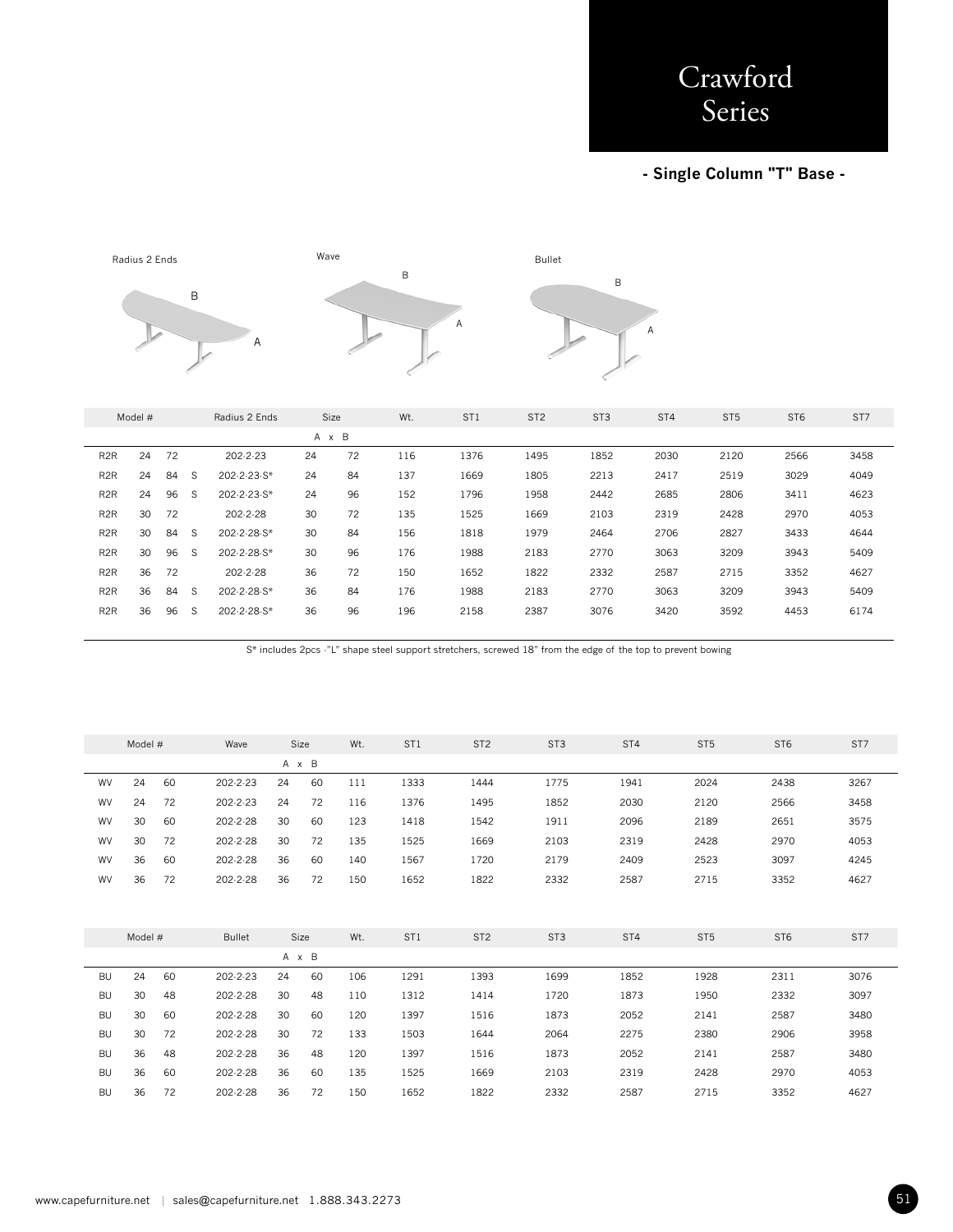## **- Single Column "T" Base -**



|                  | Model # |    |   | Radius 2 Ends |    | Size  | Wt. | ST <sub>1</sub> | ST <sub>2</sub> | ST <sub>3</sub> | ST <sub>4</sub> | ST <sub>5</sub> | ST <sub>6</sub> | ST <sub>7</sub> |
|------------------|---------|----|---|---------------|----|-------|-----|-----------------|-----------------|-----------------|-----------------|-----------------|-----------------|-----------------|
|                  |         |    |   |               |    | A x B |     |                 |                 |                 |                 |                 |                 |                 |
| R <sub>2</sub> R | 24      | 72 |   | 202-2-23      | 24 | 72    | 116 | 1376            | 1495            | 1852            | 2030            | 2120            | 2566            | 3458            |
| R <sub>2</sub> R | 24      | 84 | S | 202-2-23-S*   | 24 | 84    | 137 | 1669            | 1805            | 2213            | 2417            | 2519            | 3029            | 4049            |
| R <sub>2</sub> R | 24      | 96 | S | 202-2-23-S*   | 24 | 96    | 152 | 1796            | 1958            | 2442            | 2685            | 2806            | 3411            | 4623            |
| R <sub>2</sub> R | 30      | 72 |   | 202-2-28      | 30 | 72    | 135 | 1525            | 1669            | 2103            | 2319            | 2428            | 2970            | 4053            |
| R <sub>2</sub> R | 30      | 84 | S | 202-2-28-S*   | 30 | 84    | 156 | 1818            | 1979            | 2464            | 2706            | 2827            | 3433            | 4644            |
| R <sub>2</sub> R | 30      | 96 | S | 202-2-28-S*   | 30 | 96    | 176 | 1988            | 2183            | 2770            | 3063            | 3209            | 3943            | 5409            |
| R <sub>2</sub> R | 36      | 72 |   | 202-2-28      | 36 | 72    | 150 | 1652            | 1822            | 2332            | 2587            | 2715            | 3352            | 4627            |
| R <sub>2</sub> R | 36      | 84 | S | 202-2-28-S*   | 36 | 84    | 176 | 1988            | 2183            | 2770            | 3063            | 3209            | 3943            | 5409            |
| R <sub>2</sub> R | 36      | 96 | S | 202-2-28-S*   | 36 | 96    | 196 | 2158            | 2387            | 3076            | 3420            | 3592            | 4453            | 6174            |
|                  |         |    |   |               |    |       |     |                 |                 |                 |                 |                 |                 |                 |

|           | Model # |    | Wave          |    | Size  | Wt. | ST <sub>1</sub> | ST <sub>2</sub> | ST <sub>3</sub> | ST4  | ST <sub>5</sub> | ST <sub>6</sub> | ST7  |
|-----------|---------|----|---------------|----|-------|-----|-----------------|-----------------|-----------------|------|-----------------|-----------------|------|
|           |         |    |               |    | A x B |     |                 |                 |                 |      |                 |                 |      |
| <b>WV</b> | 24      | 60 | 202-2-23      | 24 | 60    | 111 | 1333            | 1444            | 1775            | 1941 | 2024            | 2438            | 3267 |
| <b>WV</b> | 24      | 72 | 202-2-23      | 24 | 72    | 116 | 1376            | 1495            | 1852            | 2030 | 2120            | 2566            | 3458 |
| WV        | 30      | 60 | 202-2-28      | 30 | 60    | 123 | 1418            | 1542            | 1911            | 2096 | 2189            | 2651            | 3575 |
| <b>WV</b> | 30      | 72 | 202-2-28      | 30 | 72    | 135 | 1525            | 1669            | 2103            | 2319 | 2428            | 2970            | 4053 |
| WV        | 36      | 60 | 202-2-28      | 36 | 60    | 140 | 1567            | 1720            | 2179            | 2409 | 2523            | 3097            | 4245 |
| WV        | 36      | 72 | 202-2-28      | 36 | 72    | 150 | 1652            | 1822            | 2332            | 2587 | 2715            | 3352            | 4627 |
|           |         |    |               |    |       |     |                 |                 |                 |      |                 |                 |      |
|           |         |    |               |    |       |     |                 |                 |                 |      |                 |                 |      |
|           | Model # |    | <b>Bullet</b> |    | Size  | Wt. | ST <sub>1</sub> | ST <sub>2</sub> | ST <sub>3</sub> | ST4  | ST <sub>5</sub> | ST <sub>6</sub> | ST7  |
|           |         |    |               |    | A x B |     |                 |                 |                 |      |                 |                 |      |
| <b>BU</b> | 24      | 60 | 202-2-23      | 24 | 60    | 106 | 1291            | 1393            | 1699            | 1852 | 1928            | 2311            | 3076 |
| <b>BU</b> | 30      | 48 | 202-2-28      | 30 | 48    | 110 | 1312            | 1414            | 1720            | 1873 | 1950            | 2332            | 3097 |
| <b>BU</b> | 30      | 60 | 202-2-28      | 30 | 60    | 120 | 1397            | 1516            | 1873            | 2052 | 2141            | 2587            | 3480 |
| <b>BU</b> | 30      | 72 | 202-2-28      | 30 | 72    | 133 | 1503            | 1644            | 2064            | 2275 | 2380            | 2906            | 3958 |
| <b>BU</b> | 36      | 48 | 202-2-28      | 36 | 48    | 120 | 1397            | 1516            | 1873            | 2052 | 2141            | 2587            | 3480 |
| <b>BU</b> | 36      | 60 | 202-2-28      | 36 | 60    | 135 | 1525            | 1669            | 2103            | 2319 | 2428            | 2970            | 4053 |
| BU        | 36      | 72 | 202-2-28      | 36 | 72    | 150 | 1652            | 1822            | 2332            | 2587 | 2715            | 3352            | 4627 |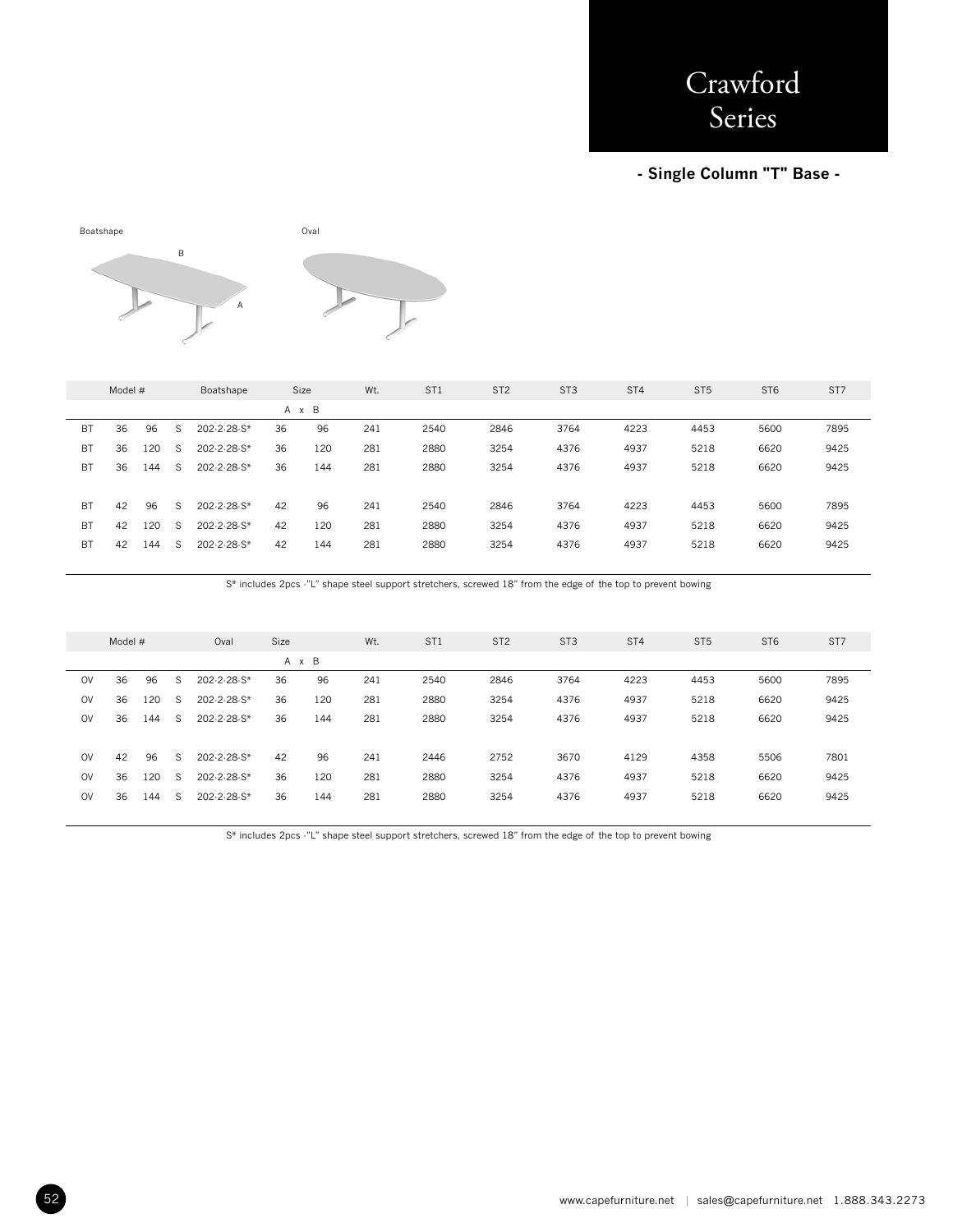### **- Single Column "T" Base -**



|           | Model # |     |              | Boatshape   |    | <b>Size</b> | Wt. | ST <sub>1</sub> | ST <sub>2</sub> | ST <sub>3</sub> | ST <sub>4</sub> | ST <sub>5</sub> | ST <sub>6</sub> | ST7  |
|-----------|---------|-----|--------------|-------------|----|-------------|-----|-----------------|-----------------|-----------------|-----------------|-----------------|-----------------|------|
|           |         |     |              |             |    | A x B       |     |                 |                 |                 |                 |                 |                 |      |
| BT        | 36      | 96  | <sub>S</sub> | 202-2-28-S* | 36 | 96          | 241 | 2540            | 2846            | 3764            | 4223            | 4453            | 5600            | 7895 |
| <b>BT</b> | 36      | 120 | -S           | 202-2-28-S* | 36 | 120         | 281 | 2880            | 3254            | 4376            | 4937            | 5218            | 6620            | 9425 |
| BT        | 36      | 144 | <sub>S</sub> | 202-2-28-S* | 36 | 144         | 281 | 2880            | 3254            | 4376            | 4937            | 5218            | 6620            | 9425 |
|           |         |     |              |             |    |             |     |                 |                 |                 |                 |                 |                 |      |
| BT        | 42      | 96  | S            | 202-2-28-S* | 42 | 96          | 241 | 2540            | 2846            | 3764            | 4223            | 4453            | 5600            | 7895 |
| <b>BT</b> | 42      | 120 | -S           | 202-2-28-S* | 42 | 120         | 281 | 2880            | 3254            | 4376            | 4937            | 5218            | 6620            | 9425 |
| BT        | 42      | 144 | -S           | 202-2-28-S* | 42 | 144         | 281 | 2880            | 3254            | 4376            | 4937            | 5218            | 6620            | 9425 |
|           |         |     |              |             |    |             |     |                 |                 |                 |                 |                 |                 |      |

S\* includes 2pcs -"L" shape steel support stretchers, screwed 18" from the edge of the top to prevent bowing

|           | Model # |     |              | Oval        | Size |       | Wt. | ST <sub>1</sub> | ST <sub>2</sub> | ST <sub>3</sub> | ST <sub>4</sub> | ST <sub>5</sub> | ST <sub>6</sub> | ST <sub>7</sub> |
|-----------|---------|-----|--------------|-------------|------|-------|-----|-----------------|-----------------|-----------------|-----------------|-----------------|-----------------|-----------------|
|           |         |     |              |             |      | A x B |     |                 |                 |                 |                 |                 |                 |                 |
| <b>OV</b> | 36      | 96  | S            | 202-2-28-S* | 36   | 96    | 241 | 2540            | 2846            | 3764            | 4223            | 4453            | 5600            | 7895            |
| <b>OV</b> | 36      | 120 | <sub>S</sub> | 202-2-28-S* | 36   | 120   | 281 | 2880            | 3254            | 4376            | 4937            | 5218            | 6620            | 9425            |
| <b>OV</b> | 36      | 144 | -S           | 202-2-28-S* | 36   | 144   | 281 | 2880            | 3254            | 4376            | 4937            | 5218            | 6620            | 9425            |
|           |         |     |              |             |      |       |     |                 |                 |                 |                 |                 |                 |                 |
| <b>OV</b> | 42      | 96  | -S           | 202-2-28-S* | 42   | 96    | 241 | 2446            | 2752            | 3670            | 4129            | 4358            | 5506            | 7801            |
| <b>OV</b> | 36      | 120 | -S           | 202-2-28-S* | 36   | 120   | 281 | 2880            | 3254            | 4376            | 4937            | 5218            | 6620            | 9425            |
| <b>OV</b> | 36      | 144 | -S           | 202-2-28-S* | 36   | 144   | 281 | 2880            | 3254            | 4376            | 4937            | 5218            | 6620            | 9425            |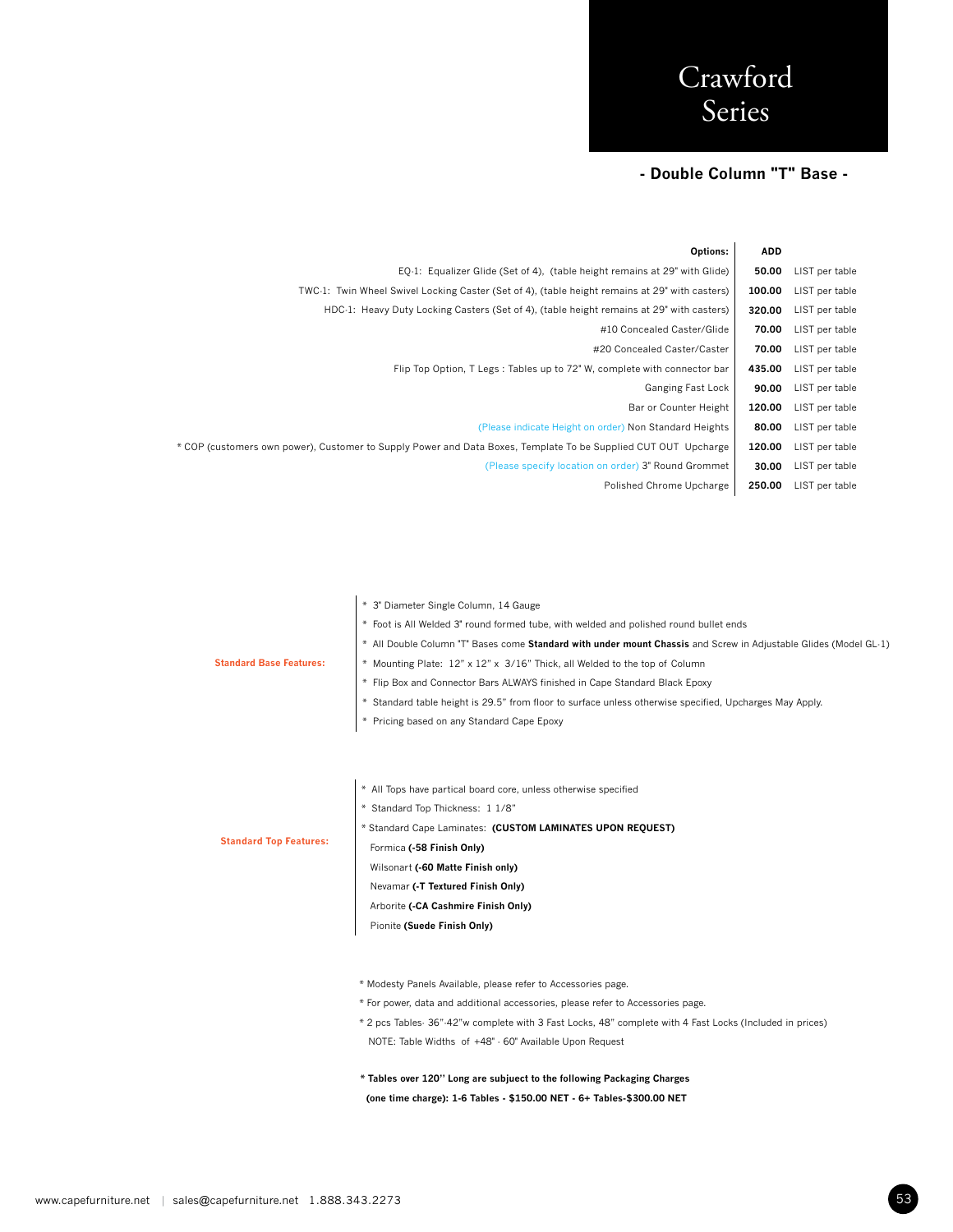### **- Double Column "T" Base -**

|                | <b>ADD</b> | Options:                                                                                                       |
|----------------|------------|----------------------------------------------------------------------------------------------------------------|
| LIST per table | 50.00      | EQ-1: Equalizer Glide (Set of 4), (table height remains at 29" with Glide)                                     |
| LIST per table | 100.00     | TWC-1: Twin Wheel Swivel Locking Caster (Set of 4), (table height remains at 29" with casters)                 |
| LIST per table | 320.00     | HDC-1: Heavy Duty Locking Casters (Set of 4), (table height remains at 29" with casters)                       |
| LIST per table | 70.00      | #10 Concealed Caster/Glide                                                                                     |
| LIST per table | 70.00      | #20 Concealed Caster/Caster                                                                                    |
| LIST per table | 435.00     | Flip Top Option, T Legs: Tables up to 72" W, complete with connector bar                                       |
| LIST per table | 90.00      | Ganging Fast Lock                                                                                              |
| LIST per table | 120.00     | Bar or Counter Height                                                                                          |
| LIST per table | 80.00      | (Please indicate Height on order) Non Standard Heights                                                         |
| LIST per table | 120.00     | * COP (customers own power), Customer to Supply Power and Data Boxes, Template To be Supplied CUT OUT Upcharge |
| LIST per table | 30.00      | (Please specify location on order) 3" Round Grommet                                                            |
| LIST per table | 250.00     | Polished Chrome Upcharge                                                                                       |
|                |            |                                                                                                                |

|                                | * 3" Diameter Single Column, 14 Gauge                                                                            |
|--------------------------------|------------------------------------------------------------------------------------------------------------------|
|                                | * Foot is All Welded 3" round formed tube, with welded and polished round bullet ends                            |
|                                | * All Double Column "T" Bases come Standard with under mount Chassis and Screw in Adjustable Glides (Model GL-1) |
| <b>Standard Base Features:</b> | * Mounting Plate: 12" x 12" x 3/16" Thick, all Welded to the top of Column                                       |
|                                | * Flip Box and Connector Bars ALWAYS finished in Cape Standard Black Epoxy                                       |
|                                | * Standard table height is 29.5" from floor to surface unless otherwise specified, Upcharges May Apply.          |
|                                | * Pricing based on any Standard Cape Epoxy                                                                       |
|                                |                                                                                                                  |
|                                |                                                                                                                  |
|                                | * All Tops have partical board core, unless otherwise specified                                                  |
|                                | * Standard Top Thickness: 1 1/8"                                                                                 |
|                                | * Standard Cape Laminates: (CUSTOM LAMINATES UPON REQUEST)                                                       |
| <b>Standard Top Features:</b>  | Formica (-58 Finish Only)                                                                                        |
|                                | Wilsonart (-60 Matte Finish only)                                                                                |
|                                | Nevamar (-T Textured Finish Only)                                                                                |
|                                | Arborite (-CA Cashmire Finish Only)                                                                              |
|                                | Pionite (Suede Finish Only)                                                                                      |
|                                |                                                                                                                  |
|                                |                                                                                                                  |
|                                | * Modesty Panels Available, please refer to Accessories page.                                                    |
|                                | * For power, data and additional accessories, please refer to Accessories page.                                  |
|                                | * 2 pcs Tables- 36"-42"w complete with 3 Fast Locks, 48" complete with 4 Fast Locks (Included in prices)         |

**\* Tables over 120" Long are subjuect to the following Packaging Charges (one time charge): 1-6 Tables - \$150.00 NET - 6+ Tables-\$300.00 NET**

NOTE: Table Widths of +48" - 60" Available Upon Request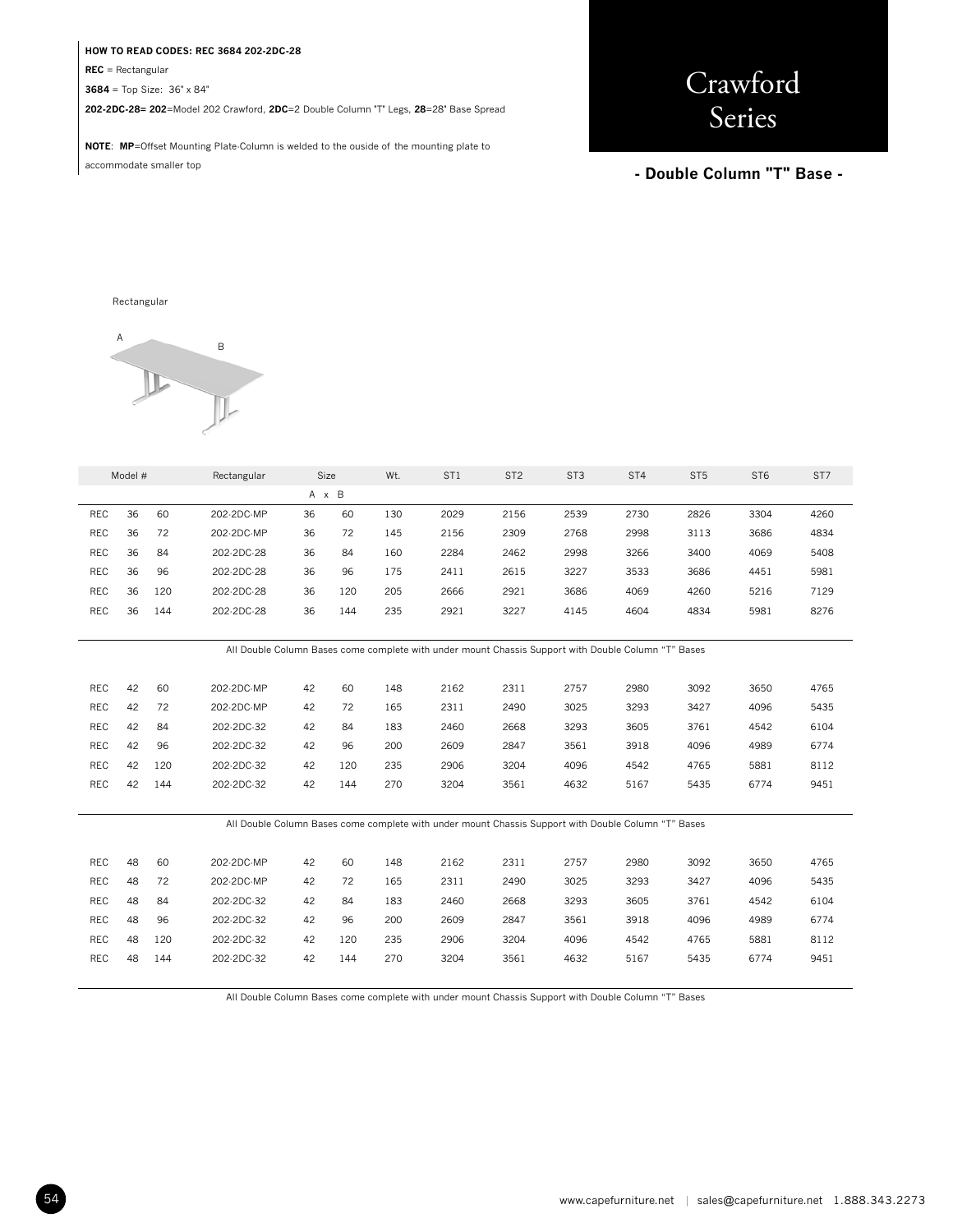#### **HOW TO READ CODES: REC 3684 202-2DC-28**

**REC** = Rectangular

**3684** = Top Size: 36" x 84"

**202-2DC-28= 202**=Model 202 Crawford, **2DC**=2 Double Column "T" Legs, **28**=28" Base Spread

**NOTE**: **MP**=Offset Mounting Plate-Column is welded to the ouside of the mounting plate to accommodate smaller top

# Crawford Series

### **- Double Column "T" Base -**

#### Rectangular



| Model #                                                                                             |    |     | Rectangular | Size  |     | Wt. | ST <sub>1</sub>                                                                                     | ST <sub>2</sub> | ST <sub>3</sub> | ST4  | ST <sub>5</sub> | ST <sub>6</sub> | ST7  |
|-----------------------------------------------------------------------------------------------------|----|-----|-------------|-------|-----|-----|-----------------------------------------------------------------------------------------------------|-----------------|-----------------|------|-----------------|-----------------|------|
|                                                                                                     |    |     |             | A x B |     |     |                                                                                                     |                 |                 |      |                 |                 |      |
| <b>REC</b>                                                                                          | 36 | 60  | 202-2DC-MP  | 36    | 60  | 130 | 2029                                                                                                | 2156            | 2539            | 2730 | 2826            | 3304            | 4260 |
| <b>REC</b>                                                                                          | 36 | 72  | 202-2DC-MP  | 36    | 72  | 145 | 2156                                                                                                | 2309            | 2768            | 2998 | 3113            | 3686            | 4834 |
| <b>REC</b>                                                                                          | 36 | 84  | 202-2DC-28  | 36    | 84  | 160 | 2284                                                                                                | 2462            | 2998            | 3266 | 3400            | 4069            | 5408 |
| <b>REC</b>                                                                                          | 36 | 96  | 202-2DC-28  | 36    | 96  | 175 | 2411                                                                                                | 2615            | 3227            | 3533 | 3686            | 4451            | 5981 |
| <b>REC</b>                                                                                          | 36 | 120 | 202-2DC-28  | 36    | 120 | 205 | 2666                                                                                                | 2921            | 3686            | 4069 | 4260            | 5216            | 7129 |
| REC                                                                                                 | 36 | 144 | 202-2DC-28  | 36    | 144 | 235 | 2921                                                                                                | 3227            | 4145            | 4604 | 4834            | 5981            | 8276 |
|                                                                                                     |    |     |             |       |     |     |                                                                                                     |                 |                 |      |                 |                 |      |
| All Double Column Bases come complete with under mount Chassis Support with Double Column "T" Bases |    |     |             |       |     |     |                                                                                                     |                 |                 |      |                 |                 |      |
|                                                                                                     |    |     |             |       |     |     |                                                                                                     |                 |                 |      |                 |                 |      |
| <b>REC</b>                                                                                          | 42 | 60  | 202-2DC-MP  | 42    | 60  | 148 | 2162                                                                                                | 2311            | 2757            | 2980 | 3092            | 3650            | 4765 |
| <b>REC</b>                                                                                          | 42 | 72  | 202-2DC-MP  | 42    | 72  | 165 | 2311                                                                                                | 2490            | 3025            | 3293 | 3427            | 4096            | 5435 |
| <b>REC</b>                                                                                          | 42 | 84  | 202-2DC-32  | 42    | 84  | 183 | 2460                                                                                                | 2668            | 3293            | 3605 | 3761            | 4542            | 6104 |
| <b>REC</b>                                                                                          | 42 | 96  | 202-2DC-32  | 42    | 96  | 200 | 2609                                                                                                | 2847            | 3561            | 3918 | 4096            | 4989            | 6774 |
| <b>REC</b>                                                                                          | 42 | 120 | 202-2DC-32  | 42    | 120 | 235 | 2906                                                                                                | 3204            | 4096            | 4542 | 4765            | 5881            | 8112 |
| REC                                                                                                 | 42 | 144 | 202-2DC-32  | 42    | 144 | 270 | 3204                                                                                                | 3561            | 4632            | 5167 | 5435            | 6774            | 9451 |
|                                                                                                     |    |     |             |       |     |     |                                                                                                     |                 |                 |      |                 |                 |      |
|                                                                                                     |    |     |             |       |     |     | All Double Column Bases come complete with under mount Chassis Support with Double Column "T" Bases |                 |                 |      |                 |                 |      |
|                                                                                                     |    |     |             |       |     |     |                                                                                                     |                 |                 |      |                 |                 |      |
| <b>REC</b>                                                                                          | 48 | 60  | 202-2DC-MP  | 42    | 60  | 148 | 2162                                                                                                | 2311            | 2757            | 2980 | 3092            | 3650            | 4765 |
| <b>REC</b>                                                                                          | 48 | 72  | 202-2DC-MP  | 42    | 72  | 165 | 2311                                                                                                | 2490            | 3025            | 3293 | 3427            | 4096            | 5435 |
| <b>REC</b>                                                                                          | 48 | 84  | 202-2DC-32  | 42    | 84  | 183 | 2460                                                                                                | 2668            | 3293            | 3605 | 3761            | 4542            | 6104 |
| <b>REC</b>                                                                                          | 48 | 96  | 202-2DC-32  | 42    | 96  | 200 | 2609                                                                                                | 2847            | 3561            | 3918 | 4096            | 4989            | 6774 |
| <b>REC</b>                                                                                          | 48 | 120 | 202-2DC-32  | 42    | 120 | 235 | 2906                                                                                                | 3204            | 4096            | 4542 | 4765            | 5881            | 8112 |
| <b>REC</b>                                                                                          | 48 | 144 | 202-2DC-32  | 42    | 144 | 270 | 3204                                                                                                | 3561            | 4632            | 5167 | 5435            | 6774            | 9451 |
|                                                                                                     |    |     |             |       |     |     |                                                                                                     |                 |                 |      |                 |                 |      |

All Double Column Bases come complete with under mount Chassis Support with Double Column "T" Bases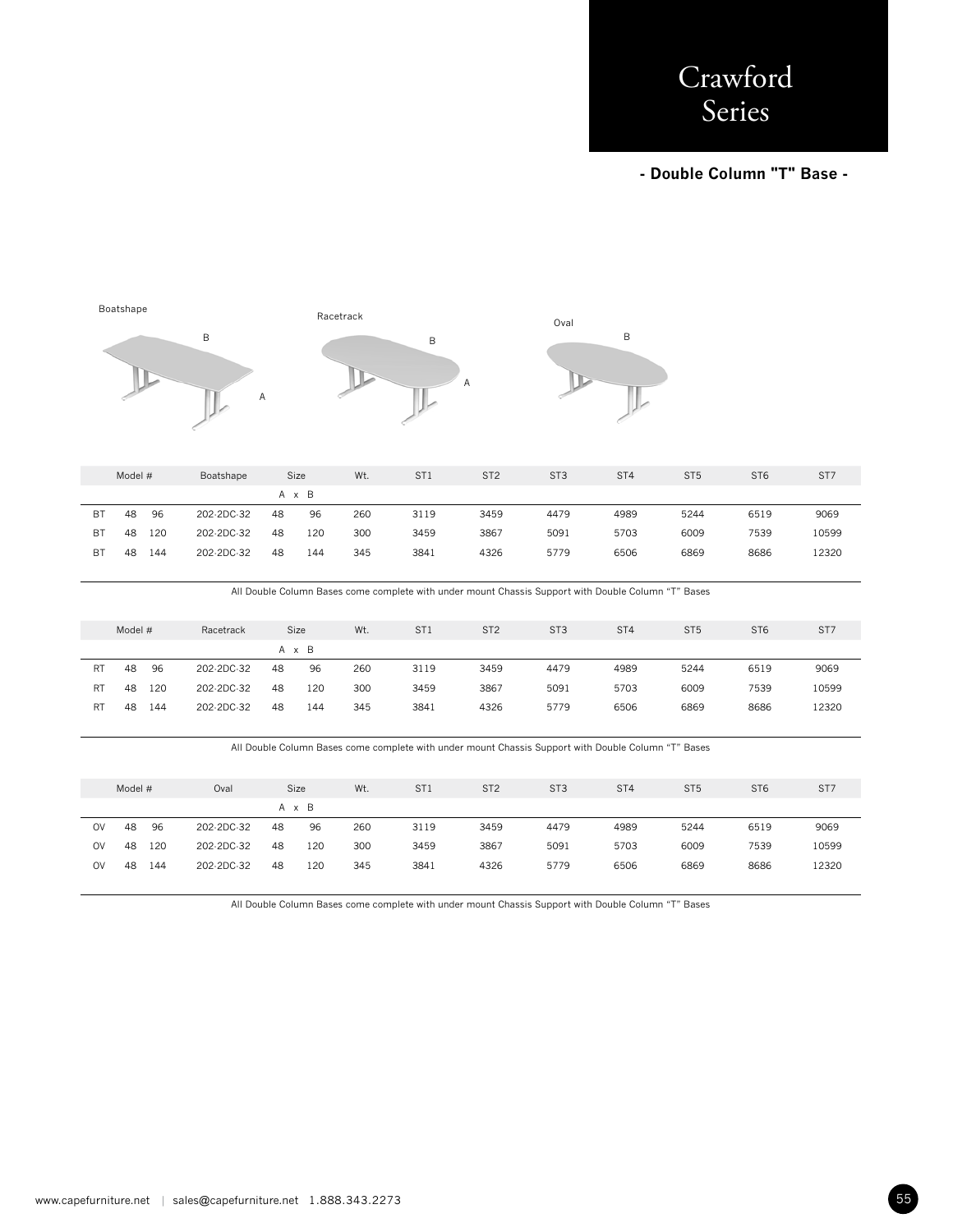**- Double Column "T" Base -** 



|           | Model # |     | Boatshape  | Size |     | Wt. | ST <sub>1</sub> | ST <sub>2</sub> | ST <sub>3</sub> | ST <sub>4</sub> | ST <sub>5</sub> | ST <sub>6</sub> | ST7   |
|-----------|---------|-----|------------|------|-----|-----|-----------------|-----------------|-----------------|-----------------|-----------------|-----------------|-------|
| A x B     |         |     |            |      |     |     |                 |                 |                 |                 |                 |                 |       |
| ВT        | 48      | 96  | 202-2DC-32 | 48   | 96  | 260 | 3119            | 3459            | 4479            | 4989            | 5244            | 6519            | 9069  |
| <b>BT</b> | 48      | 120 | 202-2DC-32 | 48   | 120 | 300 | 3459            | 3867            | 5091            | 5703            | 6009            | 7539            | 10599 |
| ВT        | 48      | 144 | 202-2DC-32 | 48   | 144 | 345 | 3841            | 4326            | 5779            | 6506            | 6869            | 8686            | 12320 |

All Double Column Bases come complete with under mount Chassis Support with Double Column "T" Bases

|    | Model # |     | Racetrack  |    | Size  | Wt. | ST <sub>1</sub> | ST <sub>2</sub> | ST <sub>3</sub> | ST <sub>4</sub> | ST <sub>5</sub> | ST <sub>6</sub> | ST <sub>7</sub> |
|----|---------|-----|------------|----|-------|-----|-----------------|-----------------|-----------------|-----------------|-----------------|-----------------|-----------------|
|    |         |     |            |    | A x B |     |                 |                 |                 |                 |                 |                 |                 |
| RT | 48      | 96  | 202-2DC-32 | 48 | 96    | 260 | 3119            | 3459            | 4479            | 4989            | 5244            | 6519            | 9069            |
| RT | 48      | 120 | 202-2DC-32 | 48 | 120   | 300 | 3459            | 3867            | 5091            | 5703            | 6009            | 7539            | 10599           |
| RT | 48      | 144 | 202-2DC-32 | 48 | 144   | 345 | 3841            | 4326            | 5779            | 6506            | 6869            | 8686            | 12320           |

All Double Column Bases come complete with under mount Chassis Support with Double Column "T" Bases

|    | Model # |     | Oval       |    | Size  | Wt. | ST <sub>1</sub> | ST <sub>2</sub> | ST <sub>3</sub> | ST <sub>4</sub> | ST <sub>5</sub> | ST <sub>6</sub> | ST <sub>7</sub> |
|----|---------|-----|------------|----|-------|-----|-----------------|-----------------|-----------------|-----------------|-----------------|-----------------|-----------------|
|    |         |     |            |    | A x B |     |                 |                 |                 |                 |                 |                 |                 |
| OV | 48      | 96  | 202-2DC-32 | 48 | 96    | 260 | 3119            | 3459            | 4479            | 4989            | 5244            | 6519            | 9069            |
| OV | 48      | 120 | 202-2DC-32 | 48 | 120   | 300 | 3459            | 3867            | 5091            | 5703            | 6009            | 7539            | 10599           |
| OV | 48      | 144 | 202-2DC-32 | 48 | 120   | 345 | 3841            | 4326            | 5779            | 6506            | 6869            | 8686            | 12320           |
|    |         |     |            |    |       |     |                 |                 |                 |                 |                 |                 |                 |

All Double Column Bases come complete with under mount Chassis Support with Double Column "T" Bases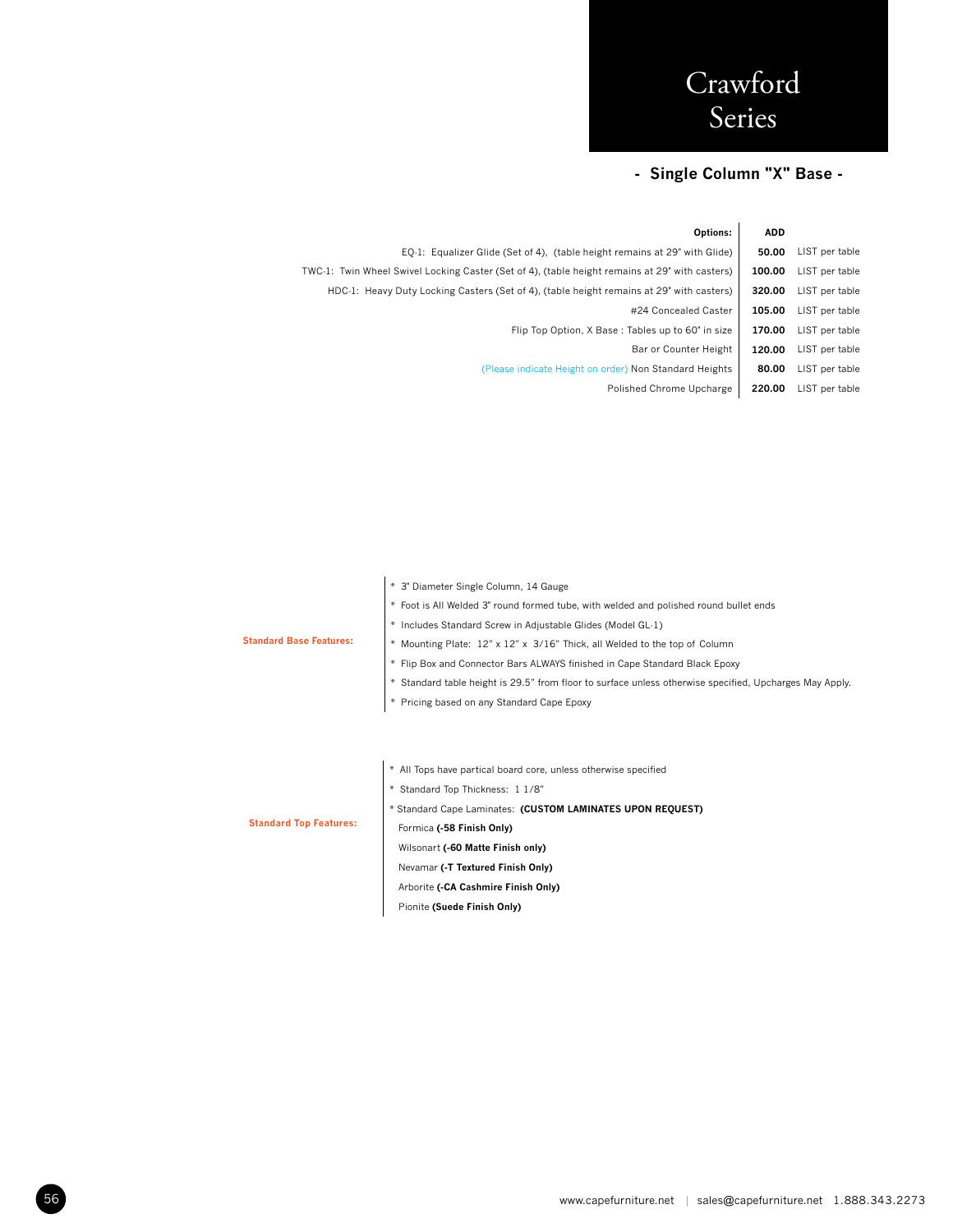## **- Single Column "X" Base -**

|                | <b>ADD</b> | Options:                                                                                       |
|----------------|------------|------------------------------------------------------------------------------------------------|
| LIST per table | 50.00      | EQ-1: Equalizer Glide (Set of 4), (table height remains at 29" with Glide)                     |
| LIST per table | 100.00     | TWC-1: Twin Wheel Swivel Locking Caster (Set of 4), (table height remains at 29" with casters) |
| LIST per table | 320.00     | HDC-1: Heavy Duty Locking Casters (Set of 4), (table height remains at 29" with casters)       |
| LIST per table | 105.00     | #24 Concealed Caster                                                                           |
| LIST per table | 170.00     | Flip Top Option, X Base: Tables up to 60" in size                                              |
| LIST per table | 120.00     | Bar or Counter Height                                                                          |
| LIST per table | 80.00      | (Please indicate Height on order) Non Standard Heights                                         |
| LIST per table | 220.00     | Polished Chrome Upcharge                                                                       |
|                |            |                                                                                                |

|                                | * 3" Diameter Single Column, 14 Gauge                                                                   |
|--------------------------------|---------------------------------------------------------------------------------------------------------|
|                                | * Foot is All Welded 3" round formed tube, with welded and polished round bullet ends                   |
|                                | * Includes Standard Screw in Adjustable Glides (Model GL-1)                                             |
| <b>Standard Base Features:</b> | * Mounting Plate: 12" x 12" x 3/16" Thick, all Welded to the top of Column                              |
|                                | * Flip Box and Connector Bars ALWAYS finished in Cape Standard Black Epoxy                              |
|                                | * Standard table height is 29.5" from floor to surface unless otherwise specified, Upcharges May Apply. |
|                                | * Pricing based on any Standard Cape Epoxy                                                              |
|                                |                                                                                                         |
|                                |                                                                                                         |
|                                | * All Tops have partical board core, unless otherwise specified                                         |
|                                | * Standard Top Thickness: 1 1/8"                                                                        |
|                                | * Standard Cape Laminates: (CUSTOM LAMINATES UPON REQUEST)                                              |
| <b>Standard Top Features:</b>  | Formica (-58 Finish Only)                                                                               |
|                                | Wilsonart (-60 Matte Finish only)                                                                       |
|                                | Nevamar (-T Textured Finish Only)                                                                       |
|                                | Arborite (-CA Cashmire Finish Only)                                                                     |

Pionite **(Suede Finish Only)**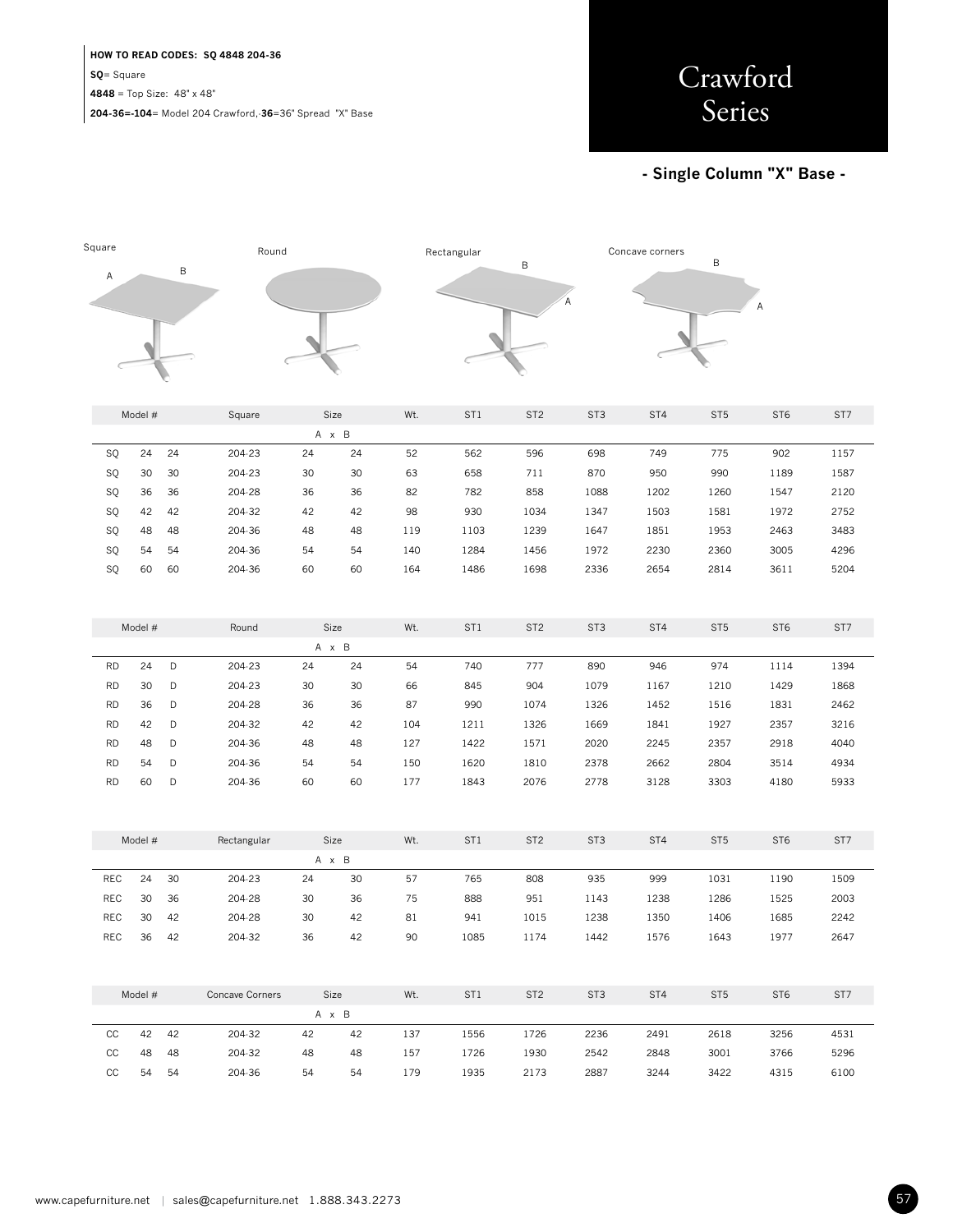### **HOW TO READ CODES: SQ 4848 204-36 SQ**= Square **4848** = Top Size: 48" x 48"

**204-36=-104**= Model 204 Crawford,-**36**=36" Spread "X" Base



### **- Single Column "X" Base -**

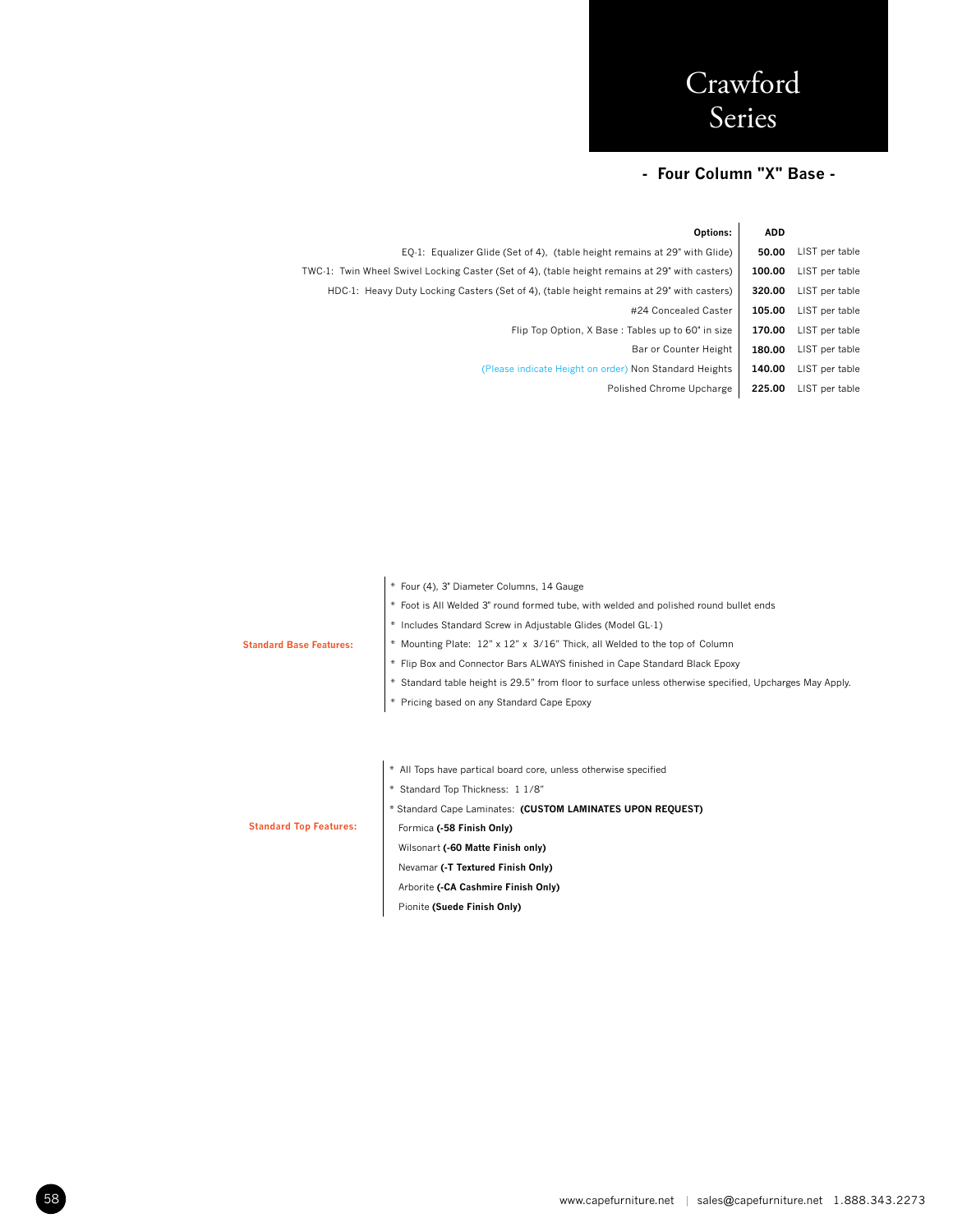### **- Four Column "X" Base -**

| <b>ADD</b> | Options:                                                                                       |
|------------|------------------------------------------------------------------------------------------------|
| 50.00      | EQ-1: Equalizer Glide (Set of 4), (table height remains at 29" with Glide)                     |
| 100.00     | TWC-1: Twin Wheel Swivel Locking Caster (Set of 4), (table height remains at 29" with casters) |
| 320.00     | HDC-1: Heavy Duty Locking Casters (Set of 4), (table height remains at 29" with casters)       |
| 105.00     | #24 Concealed Caster                                                                           |
| 170.00     | Flip Top Option, X Base: Tables up to 60" in size                                              |
| 180.00     | Bar or Counter Height                                                                          |
| 140.00     | (Please indicate Height on order) Non Standard Heights                                         |
| 225.00     | Polished Chrome Upcharge                                                                       |
|            |                                                                                                |

|                                | * Four (4), 3" Diameter Columns, 14 Gauge                                                               |
|--------------------------------|---------------------------------------------------------------------------------------------------------|
|                                | * Foot is All Welded 3" round formed tube, with welded and polished round bullet ends                   |
|                                | * Includes Standard Screw in Adjustable Glides (Model GL-1)                                             |
| <b>Standard Base Features:</b> | * Mounting Plate: 12" x 12" x 3/16" Thick, all Welded to the top of Column                              |
|                                | * Flip Box and Connector Bars ALWAYS finished in Cape Standard Black Epoxy                              |
|                                | * Standard table height is 29.5" from floor to surface unless otherwise specified, Upcharges May Apply. |
|                                | * Pricing based on any Standard Cape Epoxy                                                              |
|                                |                                                                                                         |
|                                |                                                                                                         |
|                                | * All Tops have partical board core, unless otherwise specified                                         |
|                                | * Standard Top Thickness: 1 1/8"                                                                        |
|                                | * Standard Cape Laminates: (CUSTOM LAMINATES UPON REQUEST)                                              |
| <b>Standard Top Features:</b>  | Formica (-58 Finish Only)                                                                               |
|                                | Wilsonart (-60 Matte Finish only)                                                                       |
|                                | Nevamar (-T Textured Finish Only)                                                                       |
|                                | Arborite (-CA Cashmire Finish Only)                                                                     |

Pionite **(Suede Finish Only)**